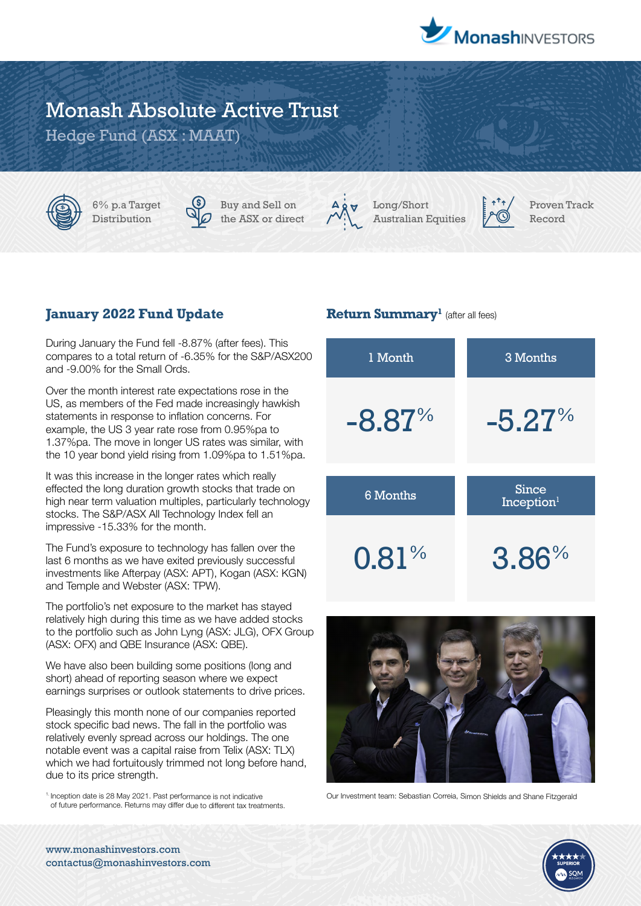

# Monash Absolute Active Trust

Hedge Fund (ASX : MAAT)

6% p.a Target Distribution



Buy and Sell on the ASX or direct



Long/Short Australian Equities



Proven Track Record

## **January 2022 Fund Update**

During January the Fund fell -8.87% (after fees). This compares to a total return of -6.35% for the S&P/ASX200 and -9.00% for the Small Ords.

Over the month interest rate expectations rose in the US, as members of the Fed made increasingly hawkish statements in response to inflation concerns. For example, the US 3 year rate rose from 0.95%pa to 1.37%pa. The move in longer US rates was similar, with the 10 year bond yield rising from 1.09%pa to 1.51%pa.

It was this increase in the longer rates which really effected the long duration growth stocks that trade on high near term valuation multiples, particularly technology stocks. The S&P/ASX All Technology Index fell an impressive -15.33% for the month.

The Fund's exposure to technology has fallen over the last 6 months as we have exited previously successful investments like Afterpay (ASX: APT), Kogan (ASX: KGN) and Temple and Webster (ASX: TPW).

The portfolio's net exposure to the market has stayed relatively high during this time as we have added stocks to the portfolio such as John Lyng (ASX: JLG), OFX Group (ASX: OFX) and QBE Insurance (ASX: QBE).

We have also been building some positions (long and short) ahead of reporting season where we expect earnings surprises or outlook statements to drive prices.

Pleasingly this month none of our companies reported stock specific bad news. The fall in the portfolio was relatively evenly spread across our holdings. The one notable event was a capital raise from Telix (ASX: TLX) which we had fortuitously trimmed not long before hand, due to its price strength.

1. Inception date is 28 May 2021. Past performance is not indicative of future performance. Returns may differ due to different tax treatments.

### **Return Summary<sup>1</sup>** (after all fees)





Our Investment team: Sebastian Correia, Simon Shields and Shane Fitzgerald



www.monashinvestors.com contactus@monashinvestors.com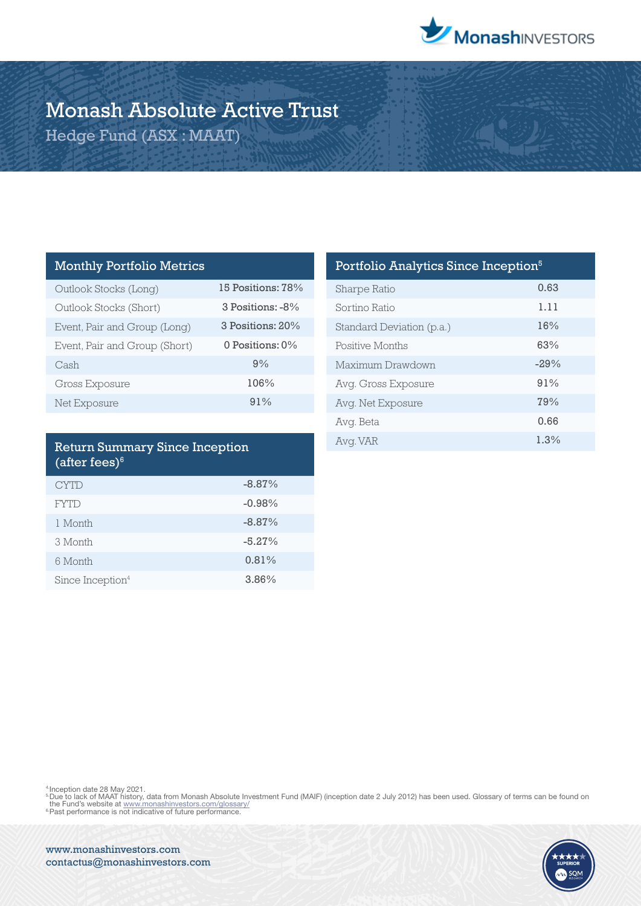

# Monash Absolute Active Trust

Hedge Fund (ASX : MAAT)

### Monthly Portfolio Metrics

| Outlook Stocks (Long)         | 15 Positions: 78%  |
|-------------------------------|--------------------|
| Outlook Stocks (Short)        | 3 Positions: -8%   |
| Event, Pair and Group (Long)  | 3 Positions: 20%   |
| Event, Pair and Group (Short) | 0 Positions: $0\%$ |
| Cash                          | 9%                 |
| <b>Gross Exposure</b>         | 106%               |
| Net Exposure                  | 91%                |

### Return Summary Since Inception (after fees) $6$

| <b>CYTD</b>                  | $-8.87%$ |
|------------------------------|----------|
| <b>FYTD</b>                  | $-0.98%$ |
| 1 Month                      | $-8.87%$ |
| 3 Month                      | $-5.27%$ |
| 6 Month                      | 0.81%    |
| Since Inception <sup>4</sup> | 3.86%    |

| Portfolio Analytics Since Inception <sup>5</sup> |        |  |
|--------------------------------------------------|--------|--|
| Sharpe Ratio                                     | 0.63   |  |
| Sortino Ratio                                    | 1.11   |  |
| Standard Deviation (p.a.)                        | 16%    |  |
| Positive Months                                  | 63%    |  |
| Maximum Drawdown                                 | $-29%$ |  |
| Avg. Gross Exposure                              | 91%    |  |
| Avg. Net Exposure                                | 79%    |  |
| Avg. Beta                                        | 0.66   |  |
| Avg. VAR                                         | 1.3%   |  |

<sup>4</sup>:Inception date 28 May 2021.<br><sup>5</sup>Due to lack of MAAT history, data from Monash Absolute Investment Fund (MAIF) (inception date 2 July 2012) has been used. Glossary of terms can be found on<br> the Fund's website at <u>www.mo</u>



www.monashinvestors.com contactus@monashinvestors.com